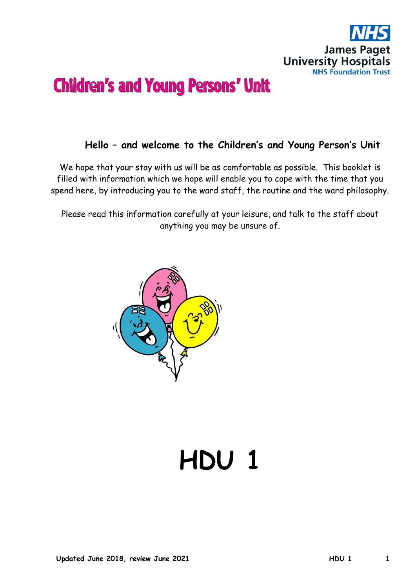

## **Hello – and welcome to the Children's and Young Person's Unit**

We hope that your stay with us will be as comfortable as possible. This booklet is filled with information which we hope will enable you to cope with the time that you spend here, by introducing you to the ward staff, the routine and the ward philosophy.

Please read this information carefully at your leisure, and talk to the staff about anything you may be unsure of.



# **HDU 1**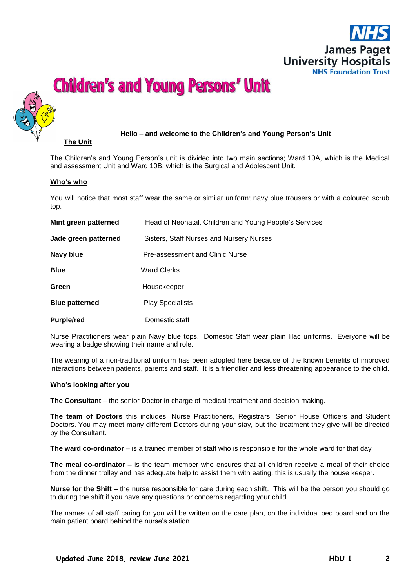



#### **Hello – and welcome to the Children's and Young Person's Unit**

The Children's and Young Person's unit is divided into two main sections; Ward 10A, which is the Medical and assessment Unit and Ward 10B, which is the Surgical and Adolescent Unit.

#### **Who's who**

**The Unit**

You will notice that most staff wear the same or similar uniform; navy blue trousers or with a coloured scrub top.

| Mint green patterned  | Head of Neonatal, Children and Young People's Services |
|-----------------------|--------------------------------------------------------|
| Jade green patterned  | Sisters, Staff Nurses and Nursery Nurses               |
| Navy blue             | Pre-assessment and Clinic Nurse                        |
| <b>Blue</b>           | <b>Ward Clerks</b>                                     |
| Green                 | Housekeeper                                            |
| <b>Blue patterned</b> | <b>Play Specialists</b>                                |
| <b>Purple/red</b>     | Domestic staff                                         |

Nurse Practitioners wear plain Navy blue tops. Domestic Staff wear plain lilac uniforms. Everyone will be wearing a badge showing their name and role.

The wearing of a non-traditional uniform has been adopted here because of the known benefits of improved interactions between patients, parents and staff. It is a friendlier and less threatening appearance to the child.

#### **Who's looking after you**

**The Consultant** – the senior Doctor in charge of medical treatment and decision making.

**The team of Doctors** this includes: Nurse Practitioners, Registrars, Senior House Officers and Student Doctors. You may meet many different Doctors during your stay, but the treatment they give will be directed by the Consultant.

**The ward co-ordinator** – is a trained member of staff who is responsible for the whole ward for that day

**The meal co-ordinator –** is the team member who ensures that all children receive a meal of their choice from the dinner trolley and has adequate help to assist them with eating, this is usually the house keeper.

**Nurse for the Shift** – the nurse responsible for care during each shift. This will be the person you should go to during the shift if you have any questions or concerns regarding your child.

The names of all staff caring for you will be written on the care plan, on the individual bed board and on the main patient board behind the nurse's station.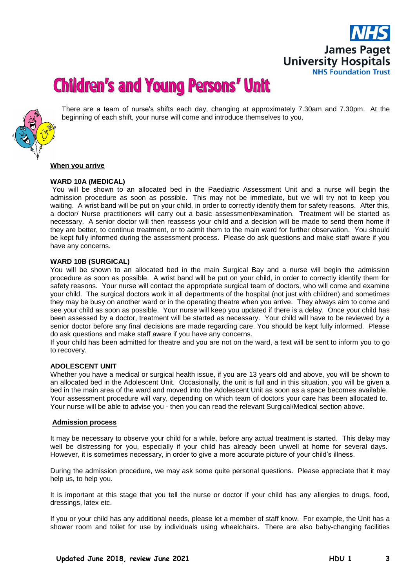



There are a team of nurse's shifts each day, changing at approximately 7.30am and 7.30pm. At the beginning of each shift, your nurse will come and introduce themselves to you.

#### **When you arrive**

#### **WARD 10A (MEDICAL)**

You will be shown to an allocated bed in the Paediatric Assessment Unit and a nurse will begin the admission procedure as soon as possible. This may not be immediate, but we will try not to keep you waiting. A wrist band will be put on your child, in order to correctly identify them for safety reasons. After this, a doctor/ Nurse practitioners will carry out a basic assessment/examination. Treatment will be started as necessary. A senior doctor will then reassess your child and a decision will be made to send them home if they are better, to continue treatment, or to admit them to the main ward for further observation. You should be kept fully informed during the assessment process. Please do ask questions and make staff aware if you have any concerns.

#### **WARD 10B (SURGICAL)**

You will be shown to an allocated bed in the main Surgical Bay and a nurse will begin the admission procedure as soon as possible. A wrist band will be put on your child, in order to correctly identify them for safety reasons. Your nurse will contact the appropriate surgical team of doctors, who will come and examine your child. The surgical doctors work in all departments of the hospital (not just with children) and sometimes they may be busy on another ward or in the operating theatre when you arrive. They always aim to come and see your child as soon as possible. Your nurse will keep you updated if there is a delay. Once your child has been assessed by a doctor, treatment will be started as necessary. Your child will have to be reviewed by a senior doctor before any final decisions are made regarding care. You should be kept fully informed. Please do ask questions and make staff aware if you have any concerns.

If your child has been admitted for theatre and you are not on the ward, a text will be sent to inform you to go to recovery.

#### **ADOLESCENT UNIT**

Whether you have a medical or surgical health issue, if you are 13 years old and above, you will be shown to an allocated bed in the Adolescent Unit. Occasionally, the unit is full and in this situation, you will be given a bed in the main area of the ward and moved into the Adolescent Unit as soon as a space becomes available. Your assessment procedure will vary, depending on which team of doctors your care has been allocated to. Your nurse will be able to advise you - then you can read the relevant Surgical/Medical section above.

#### **Admission process**

It may be necessary to observe your child for a while, before any actual treatment is started. This delay may well be distressing for you, especially if your child has already been unwell at home for several days. However, it is sometimes necessary, in order to give a more accurate picture of your child's illness.

During the admission procedure, we may ask some quite personal questions. Please appreciate that it may help us, to help you.

It is important at this stage that you tell the nurse or doctor if your child has any allergies to drugs, food, dressings, latex etc.

If you or your child has any additional needs, please let a member of staff know. For example, the Unit has a shower room and toilet for use by individuals using wheelchairs. There are also baby-changing facilities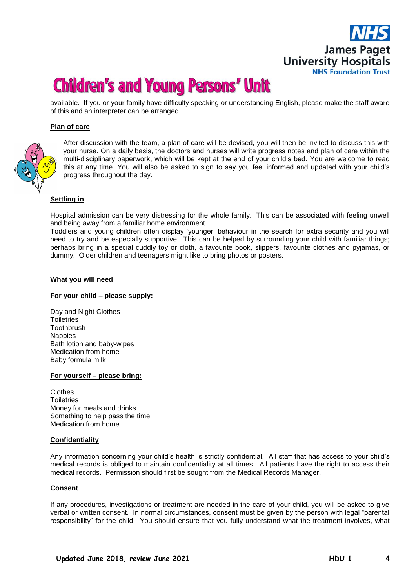## **James Paget University Hospitals NHS Foundation Trust**

## **Children's and Young Persons' Unit**

available. If you or your family have difficulty speaking or understanding English, please make the staff aware of this and an interpreter can be arranged.

#### **Plan of care**



After discussion with the team, a plan of care will be devised, you will then be invited to discuss this with your nurse. On a daily basis, the doctors and nurses will write progress notes and plan of care within the multi-disciplinary paperwork, which will be kept at the end of your child's bed. You are welcome to read this at any time. You will also be asked to sign to say you feel informed and updated with your child's progress throughout the day.

#### **Settling in**

Hospital admission can be very distressing for the whole family. This can be associated with feeling unwell and being away from a familiar home environment.

Toddlers and young children often display 'younger' behaviour in the search for extra security and you will need to try and be especially supportive. This can be helped by surrounding your child with familiar things; perhaps bring in a special cuddly toy or cloth, a favourite book, slippers, favourite clothes and pyjamas, or dummy. Older children and teenagers might like to bring photos or posters.

#### **What you will need**

#### **For your child – please supply:**

Day and Night Clothes **Toiletries Toothbrush** Nappies Bath lotion and baby-wipes Medication from home Baby formula milk

#### **For yourself – please bring:**

Clothes **Toiletries** Money for meals and drinks Something to help pass the time Medication from home

#### **Confidentiality**

Any information concerning your child's health is strictly confidential. All staff that has access to your child's medical records is obliged to maintain confidentiality at all times. All patients have the right to access their medical records. Permission should first be sought from the Medical Records Manager.

#### **Consent**

If any procedures, investigations or treatment are needed in the care of your child, you will be asked to give verbal or written consent. In normal circumstances, consent must be given by the person with legal "parental responsibility" for the child. You should ensure that you fully understand what the treatment involves, what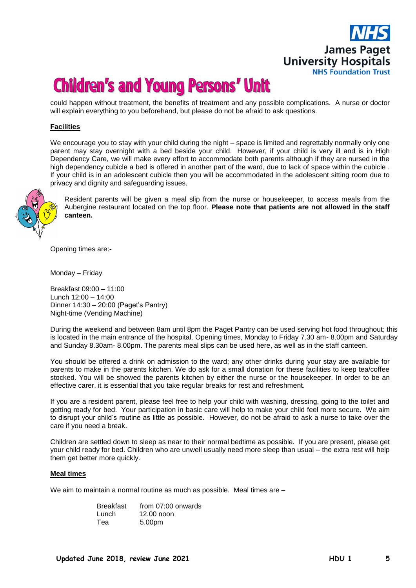

could happen without treatment, the benefits of treatment and any possible complications. A nurse or doctor will explain everything to you beforehand, but please do not be afraid to ask questions.

#### **Facilities**

We encourage you to stay with your child during the night – space is limited and regrettably normally only one parent may stay overnight with a bed beside your child. However, if your child is very ill and is in High Dependency Care, we will make every effort to accommodate both parents although if they are nursed in the high dependency cubicle a bed is offered in another part of the ward, due to lack of space within the cubicle . If your child is in an adolescent cubicle then you will be accommodated in the adolescent sitting room due to privacy and dignity and safeguarding issues.



Resident parents will be given a meal slip from the nurse or housekeeper, to access meals from the Aubergine restaurant located on the top floor. **Please note that patients are not allowed in the staff canteen.**

Opening times are:-

Monday – Friday

Breakfast 09:00 – 11:00 Lunch 12:00 – 14:00 Dinner 14:30 – 20:00 (Paget's Pantry) Night-time (Vending Machine)

During the weekend and between 8am until 8pm the Paget Pantry can be used serving hot food throughout; this is located in the main entrance of the hospital. Opening times, Monday to Friday 7.30 am- 8.00pm and Saturday and Sunday 8.30am- 8.00pm. The parents meal slips can be used here, as well as in the staff canteen.

You should be offered a drink on admission to the ward; any other drinks during your stay are available for parents to make in the parents kitchen. We do ask for a small donation for these facilities to keep tea/coffee stocked. You will be showed the parents kitchen by either the nurse or the housekeeper. In order to be an effective carer, it is essential that you take regular breaks for rest and refreshment.

If you are a resident parent, please feel free to help your child with washing, dressing, going to the toilet and getting ready for bed. Your participation in basic care will help to make your child feel more secure. We aim to disrupt your child's routine as little as possible. However, do not be afraid to ask a nurse to take over the care if you need a break.

Children are settled down to sleep as near to their normal bedtime as possible. If you are present, please get your child ready for bed. Children who are unwell usually need more sleep than usual – the extra rest will help them get better more quickly.

#### **Meal times**

We aim to maintain a normal routine as much as possible. Meal times are –

| Breakfast | from $07:00$ onwards |
|-----------|----------------------|
| Lunch     | $12.00$ noon         |
| Теа       | 5.00pm               |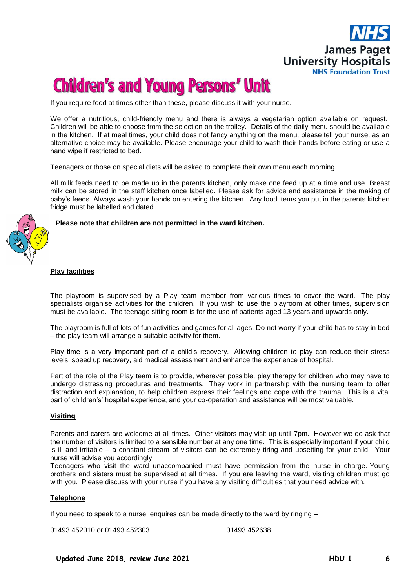

If you require food at times other than these, please discuss it with your nurse.

We offer a nutritious, child-friendly menu and there is always a vegetarian option available on request. Children will be able to choose from the selection on the trolley. Details of the daily menu should be available in the kitchen. If at meal times, your child does not fancy anything on the menu, please tell your nurse, as an alternative choice may be available. Please encourage your child to wash their hands before eating or use a hand wipe if restricted to bed.

Teenagers or those on special diets will be asked to complete their own menu each morning.

All milk feeds need to be made up in the parents kitchen, only make one feed up at a time and use. Breast milk can be stored in the staff kitchen once labelled. Please ask for advice and assistance in the making of baby's feeds. Always wash your hands on entering the kitchen. Any food items you put in the parents kitchen fridge must be labelled and dated.

**Please note that children are not permitted in the ward kitchen.**

#### **Play facilities**

The playroom is supervised by a Play team member from various times to cover the ward. The play specialists organise activities for the children. If you wish to use the playroom at other times, supervision must be available. The teenage sitting room is for the use of patients aged 13 years and upwards only.

The playroom is full of lots of fun activities and games for all ages. Do not worry if your child has to stay in bed – the play team will arrange a suitable activity for them.

Play time is a very important part of a child's recovery. Allowing children to play can reduce their stress levels, speed up recovery, aid medical assessment and enhance the experience of hospital.

Part of the role of the Play team is to provide, wherever possible, play therapy for children who may have to undergo distressing procedures and treatments. They work in partnership with the nursing team to offer distraction and explanation, to help children express their feelings and cope with the trauma. This is a vital part of children's' hospital experience, and your co-operation and assistance will be most valuable.

#### **Visiting**

Parents and carers are welcome at all times. Other visitors may visit up until 7pm. However we do ask that the number of visitors is limited to a sensible number at any one time. This is especially important if your child is ill and irritable – a constant stream of visitors can be extremely tiring and upsetting for your child. Your nurse will advise you accordingly.

Teenagers who visit the ward unaccompanied must have permission from the nurse in charge. Young brothers and sisters must be supervised at all times. If you are leaving the ward, visiting children must go with you. Please discuss with your nurse if you have any visiting difficulties that you need advice with.

#### **Telephone**

If you need to speak to a nurse, enquires can be made directly to the ward by ringing –

01493 452010 or 01493 452303 01493 452638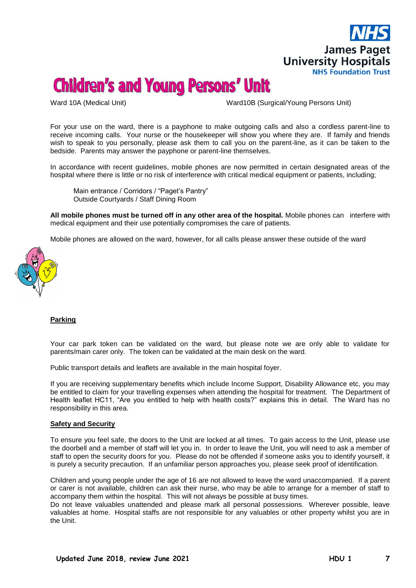

Ward 10A (Medical Unit) Ward10B (Surgical/Young Persons Unit)

For your use on the ward, there is a payphone to make outgoing calls and also a cordless parent-line to receive incoming calls. Your nurse or the housekeeper will show you where they are. If family and friends wish to speak to you personally, please ask them to call you on the parent-line, as it can be taken to the bedside. Parents may answer the payphone or parent-line themselves.

In accordance with recent guidelines, mobile phones are now permitted in certain designated areas of the hospital where there is little or no risk of interference with critical medical equipment or patients, including;

 Main entrance / Corridors / "Paget's Pantry" Outside Courtyards / Staff Dining Room

**All mobile phones must be turned off in any other area of the hospital.** Mobile phones can interfere with medical equipment and their use potentially compromises the care of patients.

Mobile phones are allowed on the ward, however, for all calls please answer these outside of the ward



#### **Parking**

Your car park token can be validated on the ward, but please note we are only able to validate for parents/main carer only. The token can be validated at the main desk on the ward.

Public transport details and leaflets are available in the main hospital foyer.

If you are receiving supplementary benefits which include Income Support, Disability Allowance etc, you may be entitled to claim for your travelling expenses when attending the hospital for treatment. The Department of Health leaflet HC11, "Are you entitled to help with health costs?" explains this in detail. The Ward has no responsibility in this area.

#### **Safety and Security**

To ensure you feel safe, the doors to the Unit are locked at all times. To gain access to the Unit, please use the doorbell and a member of staff will let you in. In order to leave the Unit, you will need to ask a member of staff to open the security doors for you. Please do not be offended if someone asks you to identify yourself, it is purely a security precaution. If an unfamiliar person approaches you, please seek proof of identification.

Children and young people under the age of 16 are not allowed to leave the ward unaccompanied. If a parent or carer is not available, children can ask their nurse, who may be able to arrange for a member of staff to accompany them within the hospital. This will not always be possible at busy times.

Do not leave valuables unattended and please mark all personal possessions. Wherever possible, leave valuables at home. Hospital staffs are not responsible for any valuables or other property whilst you are in the Unit.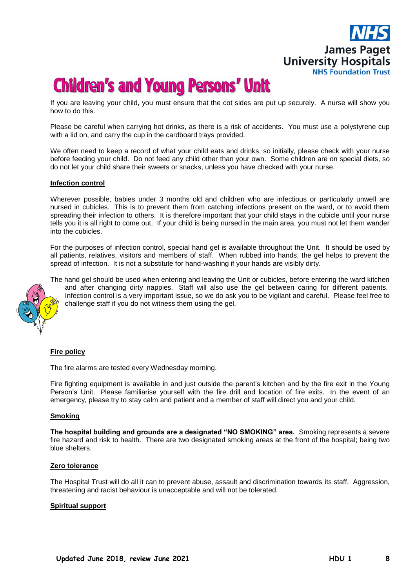

If you are leaving your child, you must ensure that the cot sides are put up securely. A nurse will show you how to do this.

Please be careful when carrying hot drinks, as there is a risk of accidents. You must use a polystyrene cup with a lid on, and carry the cup in the cardboard trays provided.

We often need to keep a record of what your child eats and drinks, so initially, please check with your nurse before feeding your child. Do not feed any child other than your own. Some children are on special diets, so do not let your child share their sweets or snacks, unless you have checked with your nurse.

#### **Infection control**

Wherever possible, babies under 3 months old and children who are infectious or particularly unwell are nursed in cubicles. This is to prevent them from catching infections present on the ward, or to avoid them spreading their infection to others. It is therefore important that your child stays in the cubicle until your nurse tells you it is all right to come out. If your child is being nursed in the main area, you must not let them wander into the cubicles.

For the purposes of infection control, special hand gel is available throughout the Unit. It should be used by all patients, relatives, visitors and members of staff. When rubbed into hands, the gel helps to prevent the spread of infection. It is not a substitute for hand-washing if your hands are visibly dirty.



The hand gel should be used when entering and leaving the Unit or cubicles, before entering the ward kitchen and after changing dirty nappies. Staff will also use the gel between caring for different patients. Infection control is a very important issue, so we do ask you to be vigilant and careful. Please feel free to challenge staff if you do not witness them using the gel.

#### **Fire policy**

The fire alarms are tested every Wednesday morning.

Fire fighting equipment is available in and just outside the parent's kitchen and by the fire exit in the Young Person's Unit. Please familiarise yourself with the fire drill and location of fire exits. In the event of an emergency, please try to stay calm and patient and a member of staff will direct you and your child.

#### **Smoking**

**The hospital building and grounds are a designated "NO SMOKING" area.** Smoking represents a severe fire hazard and risk to health. There are two designated smoking areas at the front of the hospital; being two blue shelters.

#### **Zero tolerance**

The Hospital Trust will do all it can to prevent abuse, assault and discrimination towards its staff. Aggression, threatening and racist behaviour is unacceptable and will not be tolerated.

#### **Spiritual support**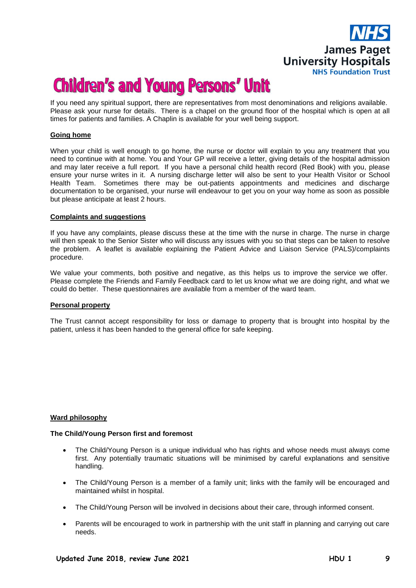

If you need any spiritual support, there are representatives from most denominations and religions available. Please ask your nurse for details. There is a chapel on the ground floor of the hospital which is open at all times for patients and families. A Chaplin is available for your well being support.

#### **Going home**

When your child is well enough to go home, the nurse or doctor will explain to you any treatment that you need to continue with at home. You and Your GP will receive a letter, giving details of the hospital admission and may later receive a full report. If you have a personal child health record (Red Book) with you, please ensure your nurse writes in it. A nursing discharge letter will also be sent to your Health Visitor or School Health Team. Sometimes there may be out-patients appointments and medicines and discharge documentation to be organised, your nurse will endeavour to get you on your way home as soon as possible but please anticipate at least 2 hours.

#### **Complaints and suggestions**

If you have any complaints, please discuss these at the time with the nurse in charge. The nurse in charge will then speak to the Senior Sister who will discuss any issues with you so that steps can be taken to resolve the problem. A leaflet is available explaining the Patient Advice and Liaison Service (PALS)/complaints procedure.

We value your comments, both positive and negative, as this helps us to improve the service we offer. Please complete the Friends and Family Feedback card to let us know what we are doing right, and what we could do better. These questionnaires are available from a member of the ward team.

#### **Personal property**

The Trust cannot accept responsibility for loss or damage to property that is brought into hospital by the patient, unless it has been handed to the general office for safe keeping.

#### **Ward philosophy**

#### **The Child/Young Person first and foremost**

- The Child/Young Person is a unique individual who has rights and whose needs must always come first. Any potentially traumatic situations will be minimised by careful explanations and sensitive handling.
- The Child/Young Person is a member of a family unit; links with the family will be encouraged and maintained whilst in hospital.
- The Child/Young Person will be involved in decisions about their care, through informed consent.
- Parents will be encouraged to work in partnership with the unit staff in planning and carrying out care needs.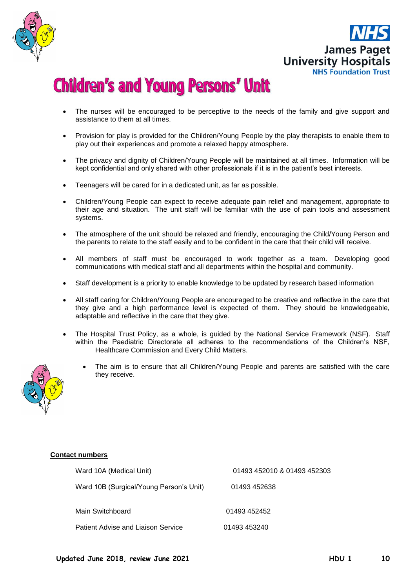



- The nurses will be encouraged to be perceptive to the needs of the family and give support and assistance to them at all times.
- Provision for play is provided for the Children/Young People by the play therapists to enable them to play out their experiences and promote a relaxed happy atmosphere.
- The privacy and dignity of Children/Young People will be maintained at all times. Information will be kept confidential and only shared with other professionals if it is in the patient's best interests.
- Teenagers will be cared for in a dedicated unit, as far as possible.
- Children/Young People can expect to receive adequate pain relief and management, appropriate to their age and situation. The unit staff will be familiar with the use of pain tools and assessment systems.
- The atmosphere of the unit should be relaxed and friendly, encouraging the Child/Young Person and the parents to relate to the staff easily and to be confident in the care that their child will receive.
- All members of staff must be encouraged to work together as a team. Developing good communications with medical staff and all departments within the hospital and community.
- Staff development is a priority to enable knowledge to be updated by research based information
- All staff caring for Children/Young People are encouraged to be creative and reflective in the care that they give and a high performance level is expected of them. They should be knowledgeable, adaptable and reflective in the care that they give.
- The Hospital Trust Policy, as a whole, is guided by the National Service Framework (NSF). Staff within the Paediatric Directorate all adheres to the recommendations of the Children's NSF, Healthcare Commission and Every Child Matters.
	- The aim is to ensure that all Children/Young People and parents are satisfied with the care they receive.



#### **Contact numbers**

| Ward 10A (Medical Unit)                 | 01493 452010 & 01493 452303 |
|-----------------------------------------|-----------------------------|
| Ward 10B (Surgical/Young Person's Unit) | 01493 452638                |
| Main Switchboard                        | 01493 452452                |
| Patient Advise and Liaison Service      | 01493 453240                |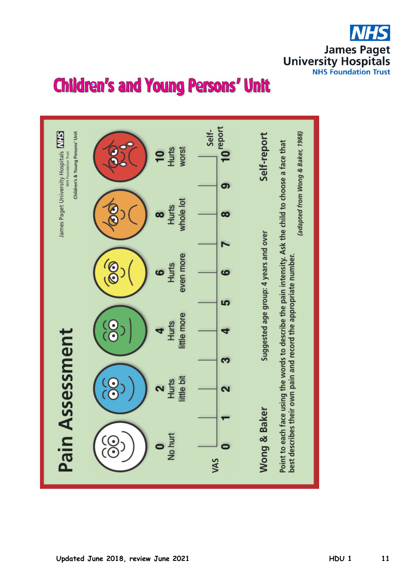**James Paget University Hospitals NHS Foundation Trust** 

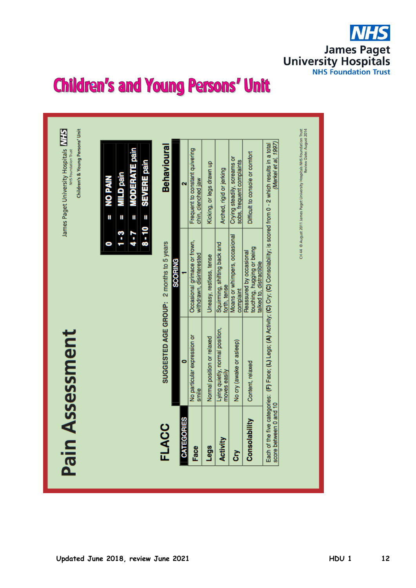

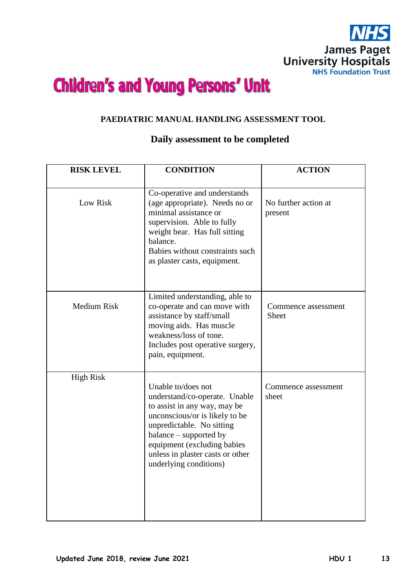

### **PAEDIATRIC MANUAL HANDLING ASSESSMENT TOOL**

### **Daily assessment to be completed**

| <b>RISK LEVEL</b>  | <b>CONDITION</b>                                                                                                                                                                                                                                                          | <b>ACTION</b>                       |
|--------------------|---------------------------------------------------------------------------------------------------------------------------------------------------------------------------------------------------------------------------------------------------------------------------|-------------------------------------|
| Low Risk           | Co-operative and understands<br>(age appropriate). Needs no or<br>minimal assistance or<br>supervision. Able to fully<br>weight bear. Has full sitting<br>balance.<br>Babies without constraints such<br>as plaster casts, equipment.                                     | No further action at<br>present     |
| <b>Medium Risk</b> | Limited understanding, able to<br>co-operate and can move with<br>assistance by staff/small<br>moving aids. Has muscle<br>weakness/loss of tone.<br>Includes post operative surgery,<br>pain, equipment.                                                                  | Commence assessment<br><b>Sheet</b> |
| <b>High Risk</b>   | Unable to/does not<br>understand/co-operate. Unable<br>to assist in any way, may be<br>unconscious/or is likely to be<br>unpredictable. No sitting<br>balance – supported by<br>equipment (excluding babies<br>unless in plaster casts or other<br>underlying conditions) | Commence assessment<br>sheet        |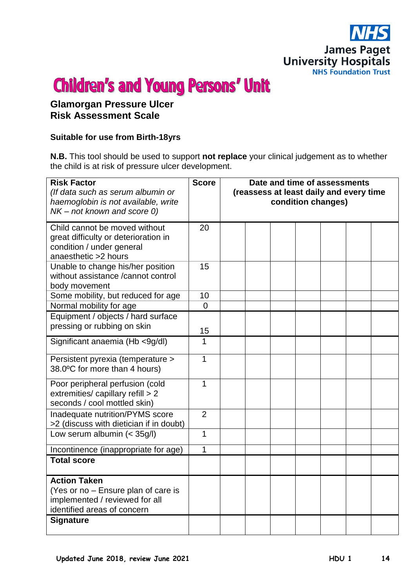

### **Glamorgan Pressure Ulcer Risk Assessment Scale**

### **Suitable for use from Birth-18yrs**

**N.B.** This tool should be used to support **not replace** your clinical judgement as to whether the child is at risk of pressure ulcer development.

|                |                      |  | condition changes) | (reassess at least daily and every time |
|----------------|----------------------|--|--------------------|-----------------------------------------|
| 20             |                      |  |                    |                                         |
| 15             |                      |  |                    |                                         |
|                |                      |  |                    |                                         |
|                |                      |  |                    |                                         |
| 15             |                      |  |                    |                                         |
| $\mathbf{1}$   |                      |  |                    |                                         |
| 1              |                      |  |                    |                                         |
| $\mathbf{1}$   |                      |  |                    |                                         |
| $\overline{2}$ |                      |  |                    |                                         |
| $\mathbf{1}$   |                      |  |                    |                                         |
| 1              |                      |  |                    |                                         |
|                |                      |  |                    |                                         |
|                |                      |  |                    |                                         |
|                | 10<br>$\overline{0}$ |  |                    |                                         |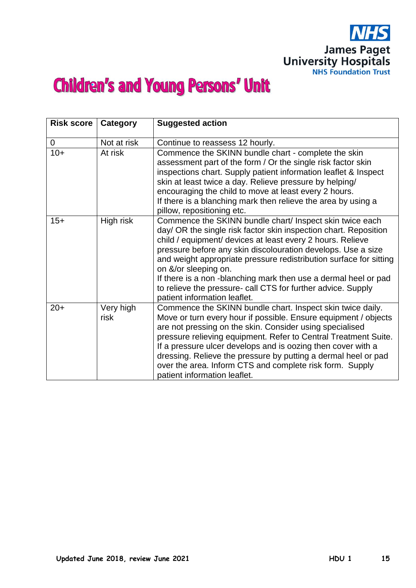

| <b>Risk score</b> | Category          | <b>Suggested action</b>                                                                                                                                                                                                                                                                                                                                                                                                                                                                                                    |
|-------------------|-------------------|----------------------------------------------------------------------------------------------------------------------------------------------------------------------------------------------------------------------------------------------------------------------------------------------------------------------------------------------------------------------------------------------------------------------------------------------------------------------------------------------------------------------------|
| 0                 | Not at risk       | Continue to reassess 12 hourly.                                                                                                                                                                                                                                                                                                                                                                                                                                                                                            |
| $10+$             | At risk           | Commence the SKINN bundle chart - complete the skin<br>assessment part of the form / Or the single risk factor skin<br>inspections chart. Supply patient information leaflet & Inspect<br>skin at least twice a day. Relieve pressure by helping/<br>encouraging the child to move at least every 2 hours.<br>If there is a blanching mark then relieve the area by using a<br>pillow, repositioning etc.                                                                                                                  |
| $15+$             | High risk         | Commence the SKINN bundle chart/ Inspect skin twice each<br>day/ OR the single risk factor skin inspection chart. Reposition<br>child / equipment/ devices at least every 2 hours. Relieve<br>pressure before any skin discolouration develops. Use a size<br>and weight appropriate pressure redistribution surface for sitting<br>on &/or sleeping on.<br>If there is a non-blanching mark then use a dermal heel or pad<br>to relieve the pressure- call CTS for further advice. Supply<br>patient information leaflet. |
| $20+$             | Very high<br>risk | Commence the SKINN bundle chart. Inspect skin twice daily.<br>Move or turn every hour if possible. Ensure equipment / objects<br>are not pressing on the skin. Consider using specialised<br>pressure relieving equipment. Refer to Central Treatment Suite.<br>If a pressure ulcer develops and is oozing then cover with a<br>dressing. Relieve the pressure by putting a dermal heel or pad<br>over the area. Inform CTS and complete risk form. Supply<br>patient information leaflet.                                 |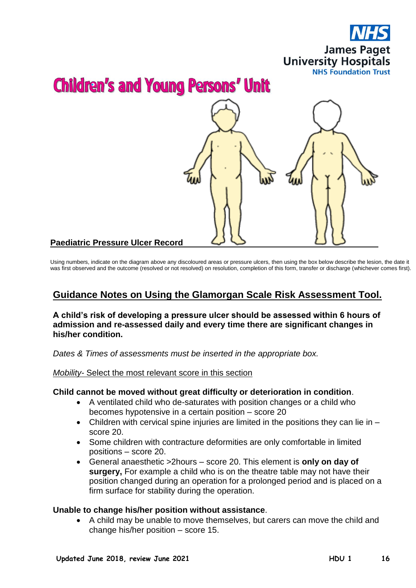



Using numbers, indicate on the diagram above any discoloured areas or pressure ulcers, then using the box below describe the lesion, the date it was first observed and the outcome (resolved or not resolved) on resolution, completion of this form, transfer or discharge (whichever comes first).

## **Guidance Notes on Using the Glamorgan Scale Risk Assessment Tool.**

**A child's risk of developing a pressure ulcer should be assessed within 6 hours of admission and re-assessed daily and every time there are significant changes in his/her condition.**

*Dates & Times of assessments must be inserted in the appropriate box.*

*Mobility-* Select the most relevant score in this section

### **Child cannot be moved without great difficulty or deterioration in condition**.

- A ventilated child who de-saturates with position changes or a child who becomes hypotensive in a certain position – score 20
- Children with cervical spine injuries are limited in the positions they can lie in score 20.
- Some children with contracture deformities are only comfortable in limited positions – score 20.
- General anaesthetic >2hours score 20. This element is **only on day of surgery,** For example a child who is on the theatre table may not have their position changed during an operation for a prolonged period and is placed on a firm surface for stability during the operation.

### **Unable to change his/her position without assistance**.

 A child may be unable to move themselves, but carers can move the child and change his/her position – score 15.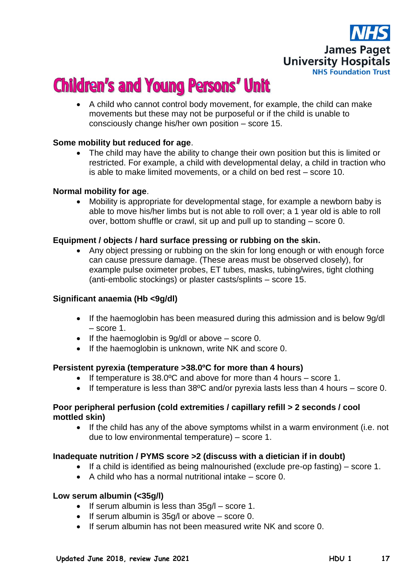

 A child who cannot control body movement, for example, the child can make movements but these may not be purposeful or if the child is unable to consciously change his/her own position – score 15.

### **Some mobility but reduced for age**.

• The child may have the ability to change their own position but this is limited or restricted. For example, a child with developmental delay, a child in traction who is able to make limited movements, or a child on bed rest – score 10.

### **Normal mobility for age**.

 Mobility is appropriate for developmental stage, for example a newborn baby is able to move his/her limbs but is not able to roll over; a 1 year old is able to roll over, bottom shuffle or crawl, sit up and pull up to standing – score 0.

### **Equipment / objects / hard surface pressing or rubbing on the skin.**

 Any object pressing or rubbing on the skin for long enough or with enough force can cause pressure damage. (These areas must be observed closely), for example pulse oximeter probes, ET tubes, masks, tubing/wires, tight clothing (anti-embolic stockings) or plaster casts/splints – score 15.

### **Significant anaemia (Hb <9g/dl)**

- If the haemoglobin has been measured during this admission and is below 9g/dl – score 1.
- $\bullet$  If the haemoglobin is 9g/dl or above score 0.
- If the haemoglobin is unknown, write NK and score 0.

### **Persistent pyrexia (temperature >38.0ºC for more than 4 hours)**

- If temperature is 38.0ºC and above for more than 4 hours score 1.
- If temperature is less than  $38^{\circ}$ C and/or pyrexia lasts less than 4 hours score 0.

### **Poor peripheral perfusion (cold extremities / capillary refill > 2 seconds / cool mottled skin)**

 If the child has any of the above symptoms whilst in a warm environment (i.e. not due to low environmental temperature) – score 1.

### **Inadequate nutrition / PYMS score >2 (discuss with a dietician if in doubt)**

- If a child is identified as being malnourished (exclude pre-op fasting) score 1.
- A child who has a normal nutritional intake score 0.

### **Low serum albumin (<35g/l)**

- If serum albumin is less than  $35g/l -$  score 1.
- $\bullet$  If serum albumin is 35g/l or above score 0.
- If serum albumin has not been measured write NK and score 0.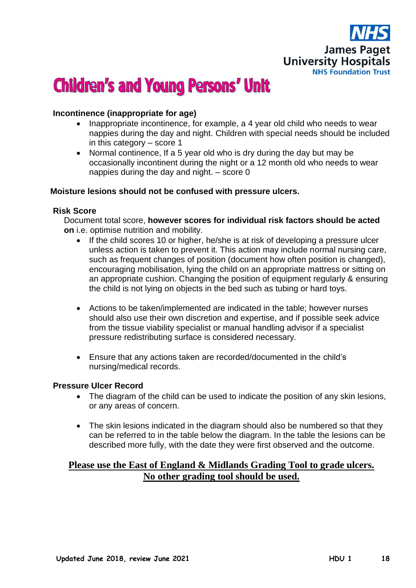

### **Incontinence (inappropriate for age)**

- Inappropriate incontinence, for example, a 4 year old child who needs to wear nappies during the day and night. Children with special needs should be included in this category – score 1
- Normal continence, If a 5 year old who is dry during the day but may be occasionally incontinent during the night or a 12 month old who needs to wear nappies during the day and night. – score 0

### **Moisture lesions should not be confused with pressure ulcers.**

### **Risk Score**

Document total score, **however scores for individual risk factors should be acted on** i.e. optimise nutrition and mobility.

- If the child scores 10 or higher, he/she is at risk of developing a pressure ulcer unless action is taken to prevent it. This action may include normal nursing care, such as frequent changes of position (document how often position is changed), encouraging mobilisation, lying the child on an appropriate mattress or sitting on an appropriate cushion. Changing the position of equipment regularly & ensuring the child is not lying on objects in the bed such as tubing or hard toys.
- Actions to be taken/implemented are indicated in the table; however nurses should also use their own discretion and expertise, and if possible seek advice from the tissue viability specialist or manual handling advisor if a specialist pressure redistributing surface is considered necessary.
- Ensure that any actions taken are recorded/documented in the child's nursing/medical records.

### **Pressure Ulcer Record**

- The diagram of the child can be used to indicate the position of any skin lesions, or any areas of concern.
- The skin lesions indicated in the diagram should also be numbered so that they can be referred to in the table below the diagram. In the table the lesions can be described more fully, with the date they were first observed and the outcome.

### **Please use the East of England & Midlands Grading Tool to grade ulcers. No other grading tool should be used.**